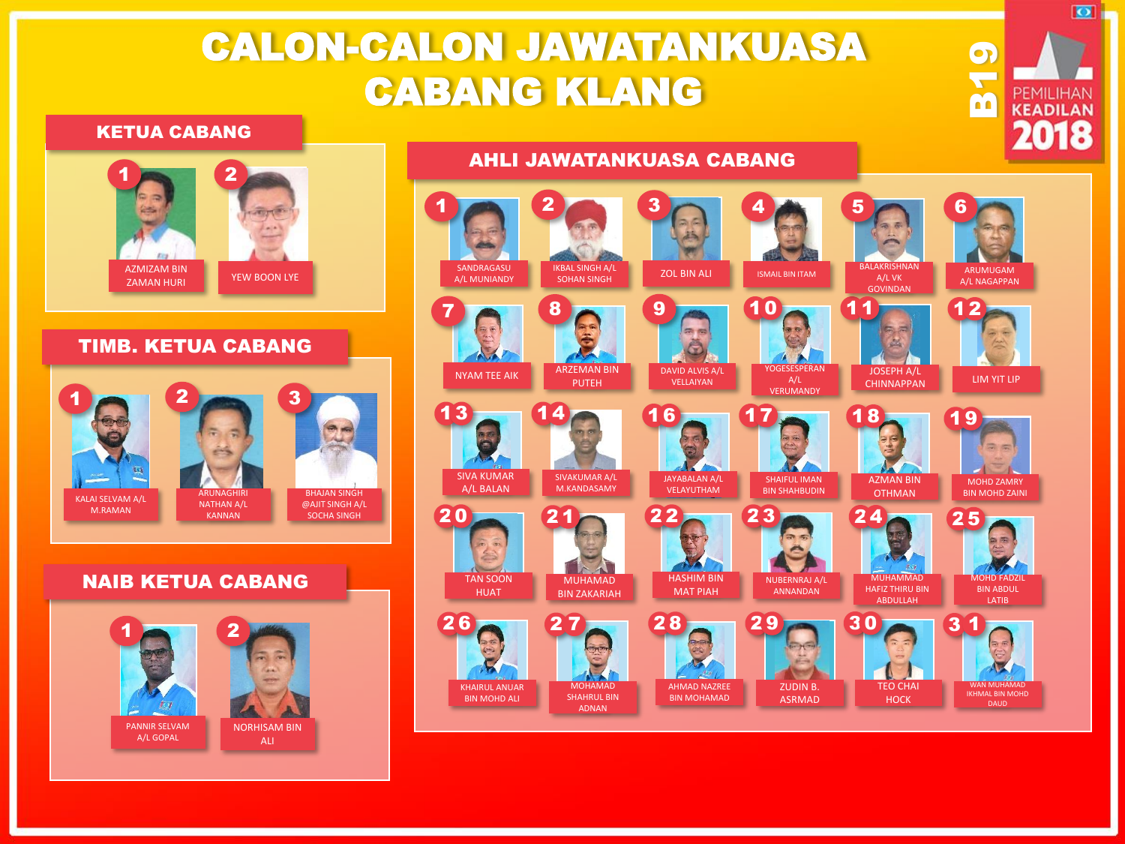# CALON-CALON JAWATANKUASA CABANG KLANG

#### KETUA CABANG



### TIMB. KETUA CABANG



### NAIB KETUA CABANG



## AHLI JAWATANKUASA CABANG



**D**<br>**DE PEMILIHAN** 

2018

 $\overline{\bullet}$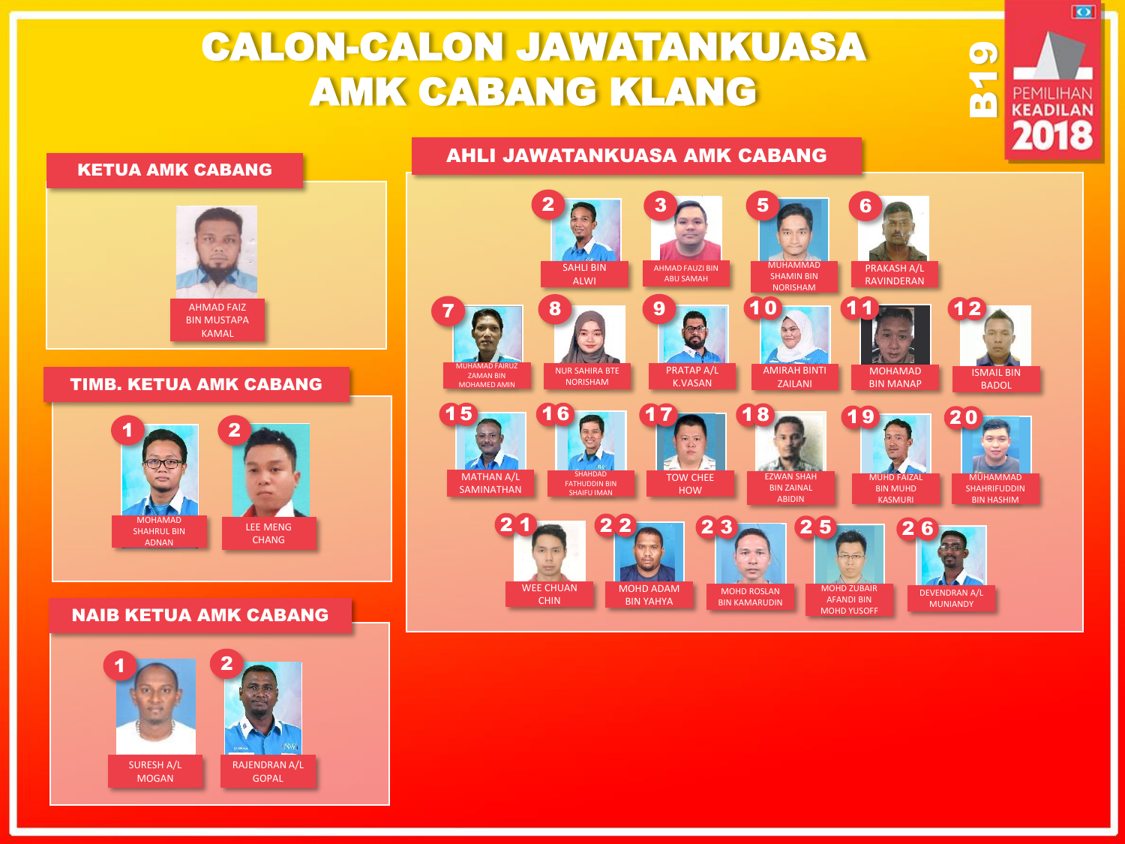# CALON-CALON JAWATANKUASA AMK CABANG KLANG



# NAIB KETUA AMK CABANG





**D**<br>**DE PEMILIHAN** 

2018

 $\overline{\bullet}$